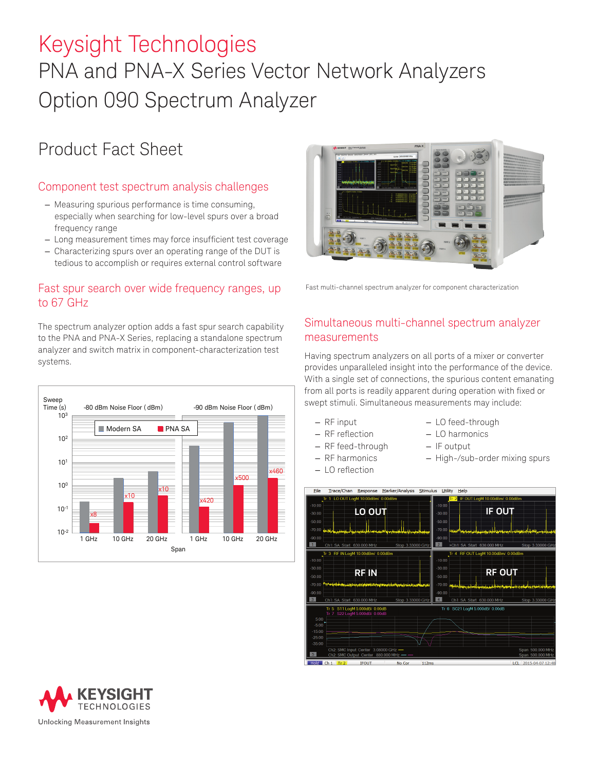# Keysight Technologies PNA and PNA-X Series Vector Network Analyzers Option 090 Spectrum Analyzer

# Product Fact Sheet

### Component test spectrum analysis challenges

- Measuring spurious performance is time consuming, especially when searching for low-level spurs over a broad frequency range
- Long measurement times may force insufficient test coverage
- Characterizing spurs over an operating range of the DUT is tedious to accomplish or requires external control software

#### Fast spur search over wide frequency ranges, up to 67 GHz

The spectrum analyzer option adds a fast spur search capability to the PNA and PNA-X Series, replacing a standalone spectrum analyzer and switch matrix in component-characterization test systems.





Fast multi-channel spectrum analyzer for component characterization

# Simultaneous multi-channel spectrum analyzer measurements

Having spectrum analyzers on all ports of a mixer or converter provides unparalleled insight into the performance of the device. With a single set of connections, the spurious content emanating from all ports is readily apparent during operation with fixed or swept stimuli. Simultaneous measurements may include:

- 
- 
- RF feed-through IF output
- 
- LO reflection
- RF input LO feed-through
- RF reflection LO harmonics
	-
- RF harmonics High-/sub-order mixing spurs